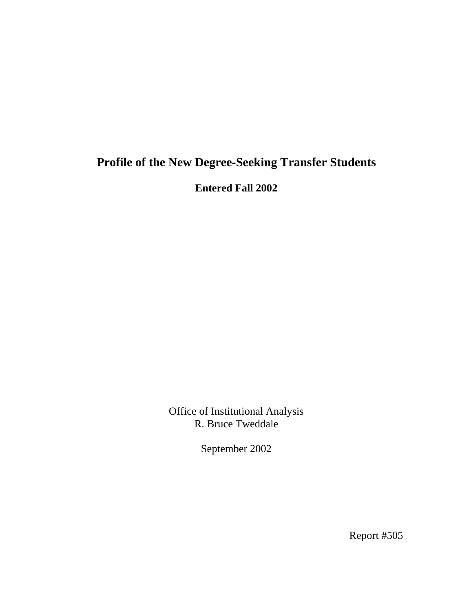# **Profile of the New Degree-Seeking Transfer Students**

**Entered Fall 2002** 

Office of Institutional Analysis R. Bruce Tweddale

September 2002

Report #505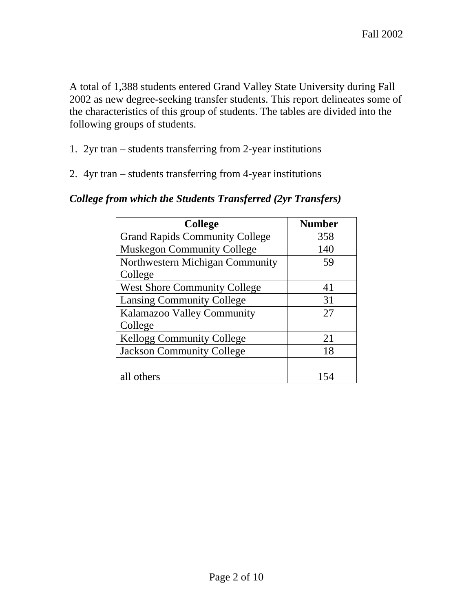A total of 1,388 students entered Grand Valley State University during Fall 2002 as new degree-seeking transfer students. This report delineates some of the characteristics of this group of students. The tables are divided into the following groups of students.

- 1. 2yr tran students transferring from 2-year institutions
- 2. 4yr tran students transferring from 4-year institutions

| <b>College</b>                        | <b>Number</b> |
|---------------------------------------|---------------|
| <b>Grand Rapids Community College</b> | 358           |
| <b>Muskegon Community College</b>     | 140           |
| Northwestern Michigan Community       | 59            |
| College                               |               |
| <b>West Shore Community College</b>   | 41            |
| <b>Lansing Community College</b>      | 31            |
| Kalamazoo Valley Community            | 27            |
| College                               |               |
| <b>Kellogg Community College</b>      | 21            |
| <b>Jackson Community College</b>      | 18            |
|                                       |               |
| all others                            |               |

#### *College from which the Students Transferred (2yr Transfers)*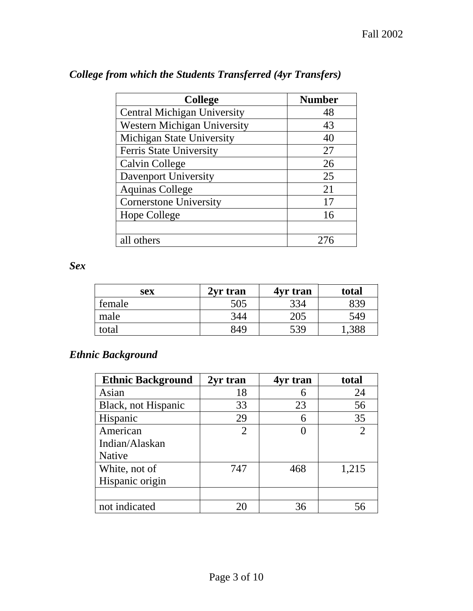| <b>College</b>                     | <b>Number</b> |
|------------------------------------|---------------|
| <b>Central Michigan University</b> | 48            |
| <b>Western Michigan University</b> | 43            |
| Michigan State University          | 40            |
| Ferris State University            | 27            |
| <b>Calvin College</b>              | 26            |
| Davenport University               | 25            |
| <b>Aquinas College</b>             | 21            |
| <b>Cornerstone University</b>      | 17            |
| Hope College                       | 16            |
|                                    |               |
| all others                         | 276           |

## *College from which the Students Transferred (4yr Transfers)*

*Sex* 

| sex    | 2yr tran | 4yr tran | total |
|--------|----------|----------|-------|
| female | 505      | 334      | 839   |
| male   | 344      | 205      | 549   |
| total  | 849      | 539      |       |

## *Ethnic Background*

| <b>Ethnic Background</b> | 2yr tran | 4yr tran | total |
|--------------------------|----------|----------|-------|
| Asian                    | 18       |          | 24    |
| Black, not Hispanic      | 33       | 23       | 56    |
| Hispanic                 | 29       |          | 35    |
| American                 | 2        |          |       |
| Indian/Alaskan           |          |          |       |
| <b>Native</b>            |          |          |       |
| White, not of            | 747      | 468      | 1,215 |
| Hispanic origin          |          |          |       |
|                          |          |          |       |
| not indicated            | 20       | 36       | 56    |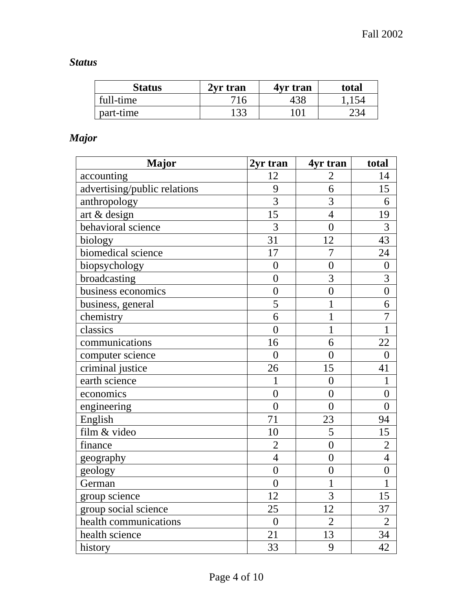## *Status*

| <b>Status</b> | 2yr tran | 4yr tran | total |
|---------------|----------|----------|-------|
| full-time     | 716      | 438      | 1,154 |
| part-time     | 133      | 101      | 234   |

## *Major*

| <b>Major</b>                 | 2yr tran         | 4yr tran       | total          |
|------------------------------|------------------|----------------|----------------|
| accounting                   | 12               | $\overline{2}$ | 14             |
| advertising/public relations | 9                | 6              | 15             |
| anthropology                 | $\overline{3}$   | 3              | 6              |
| art & design                 | 15               | $\overline{4}$ | 19             |
| behavioral science           | $\overline{3}$   | $\overline{0}$ | 3              |
| biology                      | $\overline{31}$  | 12             | 43             |
| biomedical science           | 17               | $\overline{7}$ | 24             |
| biopsychology                | $\overline{0}$   | $\overline{0}$ | $\overline{0}$ |
| broadcasting                 | $\overline{0}$   | $\overline{3}$ | $\overline{3}$ |
| business economics           | $\overline{0}$   | $\overline{0}$ | $\overline{0}$ |
| business, general            | 5                | $\mathbf 1$    | 6              |
| chemistry                    | 6                | $\mathbf{1}$   | $\overline{7}$ |
| classics                     | $\overline{0}$   | $\mathbf{1}$   | $\overline{1}$ |
| communications               | 16               | 6              | 22             |
| computer science             | $\overline{0}$   | $\overline{0}$ | $\overline{0}$ |
| criminal justice             | 26               | 15             | 41             |
| earth science                | 1                | $\overline{0}$ | 1              |
| economics                    | $\overline{0}$   | $\overline{0}$ | $\overline{0}$ |
| engineering                  | $\overline{0}$   | $\overline{0}$ | $\overline{0}$ |
| English                      | 71               | 23             | 94             |
| film & video                 | 10               | $\overline{5}$ | 15             |
| finance                      | $\overline{2}$   | $\overline{0}$ | $\overline{2}$ |
| geography                    | $\overline{4}$   | $\overline{0}$ | $\overline{4}$ |
| geology                      | $\overline{0}$   | $\overline{0}$ | $\overline{0}$ |
| German                       | $\boldsymbol{0}$ | $\mathbf{1}$   | $\mathbf{1}$   |
| group science                | 12               | $\overline{3}$ | 15             |
| group social science         | 25               | 12             | 37             |
| health communications        | $\overline{0}$   | $\overline{2}$ | $\overline{2}$ |
| health science               | 21               | 13             | 34             |
| history                      | 33               | 9              | 42             |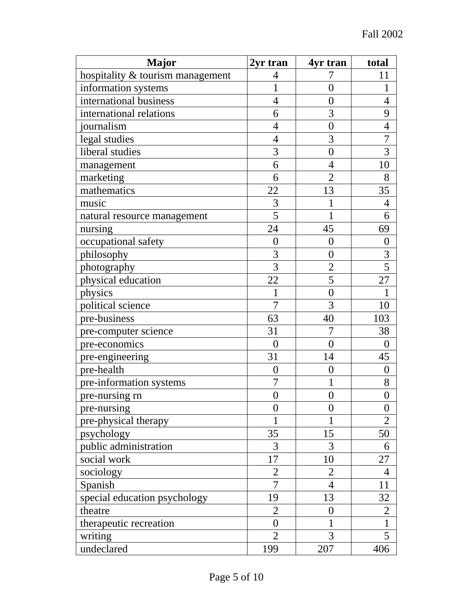| <b>Major</b>                     | 2yr tran         | 4yr tran         | total            |
|----------------------------------|------------------|------------------|------------------|
| hospitality & tourism management | $\overline{4}$   | 7                | 11               |
| information systems              | 1                | $\overline{0}$   | 1                |
| international business           | $\overline{4}$   | $\overline{0}$   | 4                |
| international relations          | 6                | 3                | 9                |
| journalism                       | $\overline{4}$   | $\overline{0}$   | 4                |
| legal studies                    | $\overline{4}$   | 3                | 7                |
| liberal studies                  | 3                | $\overline{0}$   | 3                |
| management                       | 6                | $\overline{4}$   | 10               |
| marketing                        | 6                | $\overline{2}$   | 8                |
| mathematics                      | 22               | 13               | 35               |
| music                            | 3                | 1                | 4                |
| natural resource management      | 5                | $\mathbf 1$      | 6                |
| nursing                          | 24               | 45               | 69               |
| occupational safety              | $\boldsymbol{0}$ | $\overline{0}$   | $\overline{0}$   |
| philosophy                       | 3                | $\overline{0}$   | 3                |
| photography                      | $\overline{3}$   | $\overline{2}$   | $\overline{5}$   |
| physical education               | 22               | 5                | 27               |
| physics                          | $\mathbf{1}$     | $\overline{0}$   | 1                |
| political science                | $\overline{7}$   | 3                | 10               |
| pre-business                     | 63               | 40               | 103              |
| pre-computer science             | 31               | 7                | 38               |
| pre-economics                    | $\overline{0}$   | $\overline{0}$   | $\theta$         |
| pre-engineering                  | 31               | 14               | 45               |
| pre-health                       | $\boldsymbol{0}$ | $\boldsymbol{0}$ | $\overline{0}$   |
| pre-information systems          | $\overline{7}$   | 1                | 8                |
| pre-nursing rn                   | $\overline{0}$   | $\overline{0}$   | $\boldsymbol{0}$ |
| pre-nursing                      | $\boldsymbol{0}$ | 0                | $\overline{0}$   |
| pre-physical therapy             | 1                | 1                | $\overline{2}$   |
| psychology                       | 35               | 15               | 50               |
| public administration            | 3                | 3                | 6                |
| social work                      | 17               | 10               | 27               |
| sociology                        | $\overline{2}$   | $\overline{2}$   | $\overline{4}$   |
| Spanish                          | $\overline{7}$   | $\overline{4}$   | 11               |
| special education psychology     | 19               | 13               | 32               |
| theatre                          | $\overline{2}$   | 0                | 2                |
| therapeutic recreation           | $\overline{0}$   |                  | 1                |
| writing                          | $\overline{2}$   | 3                | 5                |
| undeclared                       | 199              | 207              | 406              |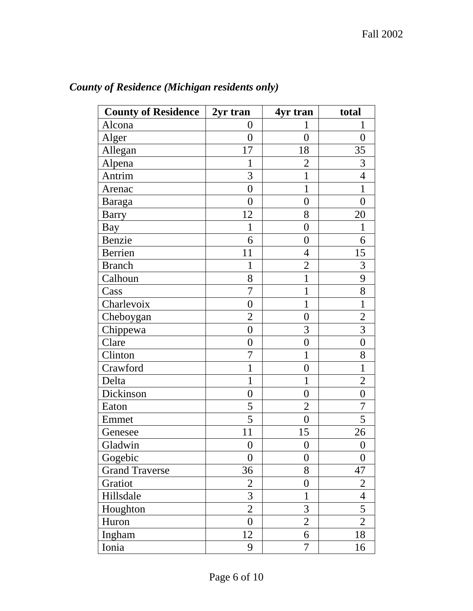| <b>County of Residence</b> | 2yr tran         | 4yr tran         | total            |
|----------------------------|------------------|------------------|------------------|
| Alcona                     | 0                |                  |                  |
| Alger                      | $\overline{0}$   | $\overline{0}$   | $\theta$         |
| Allegan                    | 17               | 18               | 35               |
| Alpena                     | 1                | $\overline{2}$   | 3                |
| Antrim                     | 3                | 1                | $\overline{4}$   |
| Arenac                     | $\boldsymbol{0}$ | 1                | 1                |
| Baraga                     | $\overline{0}$   | $\overline{0}$   | $\overline{0}$   |
| <b>Barry</b>               | 12               | 8                | 20               |
| Bay                        | $\mathbf{1}$     | $\overline{0}$   | $\mathbf{1}$     |
| Benzie                     | 6                | $\boldsymbol{0}$ | 6                |
| Berrien                    | 11               | $\overline{4}$   | 15               |
| <b>Branch</b>              | 1                | $\overline{2}$   | 3                |
| Calhoun                    | 8                | $\mathbf{1}$     | 9                |
| Cass                       | 7                | 1                | 8                |
| Charlevoix                 | $\overline{0}$   | 1                | $\mathbf 1$      |
| Cheboygan                  | $\overline{2}$   | $\boldsymbol{0}$ | $\overline{2}$   |
| Chippewa                   | $\overline{0}$   | 3                | 3                |
| Clare                      | 0                | $\boldsymbol{0}$ | $\overline{0}$   |
| Clinton                    | 7                | 1                | 8                |
| Crawford                   | 1                | $\overline{0}$   | $\mathbf{1}$     |
| Delta                      | $\mathbf{1}$     | 1                | $\overline{2}$   |
| Dickinson                  | $\overline{0}$   | $\overline{0}$   | $\overline{0}$   |
| Eaton                      | 5                | $\overline{2}$   | 7                |
| Emmet                      | 5                | $\overline{0}$   | 5                |
| Genesee                    | 11               | 15               | 26               |
| Gladwin                    | $\overline{0}$   | $\boldsymbol{0}$ | $\boldsymbol{0}$ |
| Gogebic                    | $\boldsymbol{0}$ | $\boldsymbol{0}$ | $\boldsymbol{0}$ |
| <b>Grand Traverse</b>      | 36               | 8                | 47               |
| Gratiot                    | $\overline{2}$   | $\boldsymbol{0}$ | $\overline{2}$   |
| Hillsdale                  | $\overline{3}$   | $\mathbf{1}$     | $\overline{4}$   |
| Houghton                   | $\overline{2}$   | 3                | 5                |
| Huron                      | $\overline{0}$   | $\overline{2}$   | $\overline{2}$   |
| Ingham                     | 12               | 6                | 18               |
| Ionia                      | 9                | 7                | 16               |

# *County of Residence (Michigan residents only)*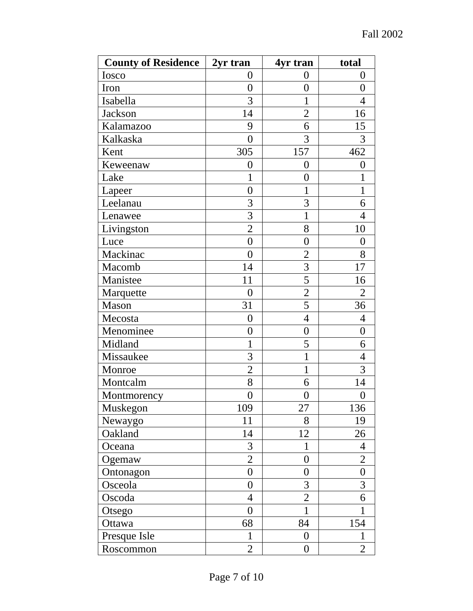| <b>County of Residence</b> | 2yr tran         | 4yr tran         | total            |
|----------------------------|------------------|------------------|------------------|
| Iosco                      | $\overline{0}$   | $\overline{0}$   | $\overline{0}$   |
| Iron                       | $\overline{0}$   | $\overline{0}$   | $\overline{0}$   |
| Isabella                   | 3                | $\mathbf 1$      | $\overline{4}$   |
| <b>Jackson</b>             | 14               | $\overline{2}$   | 16               |
| Kalamazoo                  | 9                | 6                | 15               |
| Kalkaska                   | $\theta$         | 3                | 3                |
| Kent                       | 305              | 157              | 462              |
| Keweenaw                   | 0                | $\overline{0}$   | 0                |
| Lake                       | 1                | $\overline{0}$   | 1                |
| Lapeer                     | $\overline{0}$   | 1                | $\mathbf 1$      |
| Leelanau                   | 3                | 3                | 6                |
| Lenawee                    | 3                | $\mathbf 1$      | $\overline{4}$   |
| Livingston                 | $\overline{2}$   | 8                | 10               |
| Luce                       | $\overline{0}$   | $\overline{0}$   | $\overline{0}$   |
| Mackinac                   | $\overline{0}$   | $\overline{2}$   | 8                |
| Macomb                     | 14               | 3                | 17               |
| Manistee                   | 11               | 5                | 16               |
| Marquette                  | $\overline{0}$   | $\overline{2}$   | $\overline{2}$   |
| Mason                      | 31               | 5                | 36               |
| Mecosta                    | $\overline{0}$   | 4                | 4                |
| Menominee                  | $\overline{0}$   | $\overline{0}$   | $\overline{0}$   |
| Midland                    | 1                | 5                | 6                |
| Missaukee                  | 3                | 1                | $\overline{4}$   |
| Monroe                     | $\overline{2}$   | $\mathbf 1$      | 3                |
| Montcalm                   | 8                | 6                | 14               |
| Montmorency                | $\overline{0}$   | $\boldsymbol{0}$ | $\overline{0}$   |
| Muskegon                   | 109              | 27               | 136              |
| Newaygo                    | 11               | 8                | 19               |
| Oakland                    | 14               | 12               | 26               |
| Oceana                     | 3                | 1                | 4                |
| Ogemaw                     | $\mathbf{2}$     | $\overline{0}$   | $\mathbf{2}$     |
| Ontonagon                  | $\boldsymbol{0}$ | $\overline{0}$   | $\boldsymbol{0}$ |
| Osceola                    | $\overline{0}$   | 3                | 3                |
| Oscoda                     | $\overline{4}$   | $\overline{2}$   | 6                |
| Otsego                     | $\overline{0}$   | $\mathbf{1}$     | 1                |
| Ottawa                     | 68               | 84               | 154              |
| Presque Isle               | $\mathbf{1}$     | $\overline{0}$   | $\mathbf{1}$     |
| Roscommon                  | $\overline{2}$   | $\boldsymbol{0}$ | $\overline{2}$   |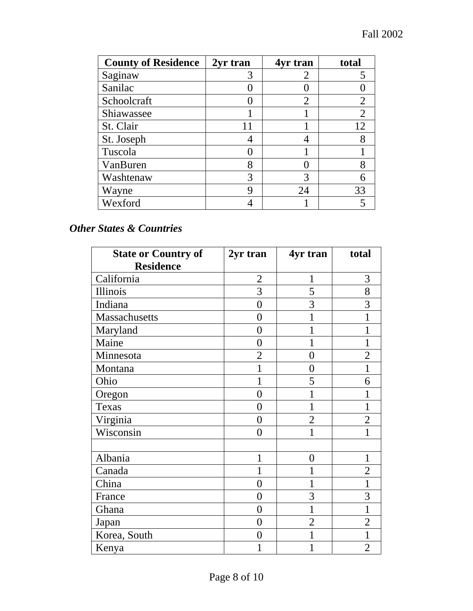| <b>County of Residence</b> | 2yr tran | 4yr tran       | total          |
|----------------------------|----------|----------------|----------------|
| Saginaw                    | 3        | 2              |                |
| Sanilac                    |          |                |                |
| Schoolcraft                |          | $\overline{2}$ | 2              |
| Shiawassee                 |          |                | $\overline{2}$ |
| St. Clair                  |          |                | 12             |
| St. Joseph                 |          |                | 8              |
| Tuscola                    |          |                |                |
| VanBuren                   | 8        |                | 8              |
| Washtenaw                  | 3        |                |                |
| Wayne                      | 9        | 24             | 33             |
| Wexford                    |          |                |                |

#### *Other States & Countries*

| <b>State or Country of</b> | 2yr tran       | 4yr tran       | total          |
|----------------------------|----------------|----------------|----------------|
| <b>Residence</b>           |                |                |                |
| California                 | $\overline{2}$ | 1              | 3              |
| Illinois                   | 3              | 5              | 8              |
| Indiana                    | $\overline{0}$ | 3              | 3              |
| Massachusetts              | $\overline{0}$ | 1              |                |
| Maryland                   | 0              |                |                |
| Maine                      | 0              |                |                |
| Minnesota                  | $\overline{2}$ | $\overline{0}$ | $\overline{2}$ |
| Montana                    | 1              | 0              |                |
| Ohio                       |                | 5              | 6              |
| Oregon                     | $\overline{0}$ | 1              |                |
| Texas                      | $\overline{0}$ | 1              |                |
| Virginia                   | $\overline{0}$ | $\overline{2}$ | $\overline{2}$ |
| Wisconsin                  | $\theta$       | 1              |                |
|                            |                |                |                |
| Albania                    |                | $\overline{0}$ |                |
| Canada                     |                | 1              | $\overline{2}$ |
| China                      | $\overline{0}$ |                | 1              |
| France                     | $\overline{0}$ | 3              | 3              |
| Ghana                      | $\overline{0}$ | $\mathbf{1}$   | 1              |
| Japan                      | $\overline{0}$ | $\overline{2}$ | $\overline{2}$ |
| Korea, South               | $\theta$       | 1              |                |
| Kenya                      |                |                | $\overline{2}$ |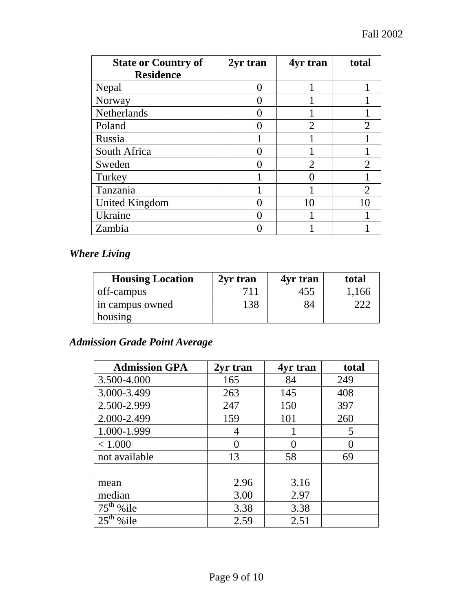| <b>State or Country of</b> | 2yr tran | 4yr tran                    | total                 |
|----------------------------|----------|-----------------------------|-----------------------|
| <b>Residence</b>           |          |                             |                       |
| Nepal                      |          |                             |                       |
| Norway                     |          |                             |                       |
| Netherlands                |          |                             |                       |
| Poland                     |          | $\overline{2}$              |                       |
| Russia                     |          |                             |                       |
| South Africa               |          |                             |                       |
| Sweden                     |          | $\mathcal{D}_{\mathcal{L}}$ |                       |
| Turkey                     |          |                             |                       |
| Tanzania                   |          |                             | $\mathcal{D}_{\cdot}$ |
| <b>United Kingdom</b>      |          | 10                          | 10                    |
| Ukraine                    |          |                             |                       |
| Zambia                     |          |                             |                       |

## *Where Living*

| <b>Housing Location</b> | 2yr tran | 4yr tran | total |
|-------------------------|----------|----------|-------|
| off-campus              | 711      | 455      | 1,166 |
| in campus owned         | 138      | 84       |       |
| housing                 |          |          |       |

### *Admission Grade Point Average*

| <b>Admission GPA</b> | 2yr tran | 4yr tran | total |
|----------------------|----------|----------|-------|
| 3.500-4.000          | 165      | 84       | 249   |
| 3.000-3.499          | 263      | 145      | 408   |
| 2.500-2.999          | 247      | 150      | 397   |
| 2.000-2.499          | 159      | 101      | 260   |
| 1.000-1.999          | 4        |          | 5     |
| < 1.000              |          | 0        |       |
| not available        | 13       | 58       | 69    |
|                      |          |          |       |
| mean                 | 2.96     | 3.16     |       |
| median               | 3.00     | 2.97     |       |
| $75th$ % ile         | 3.38     | 3.38     |       |
| $25th$ % ile         | 2.59     | 2.51     |       |